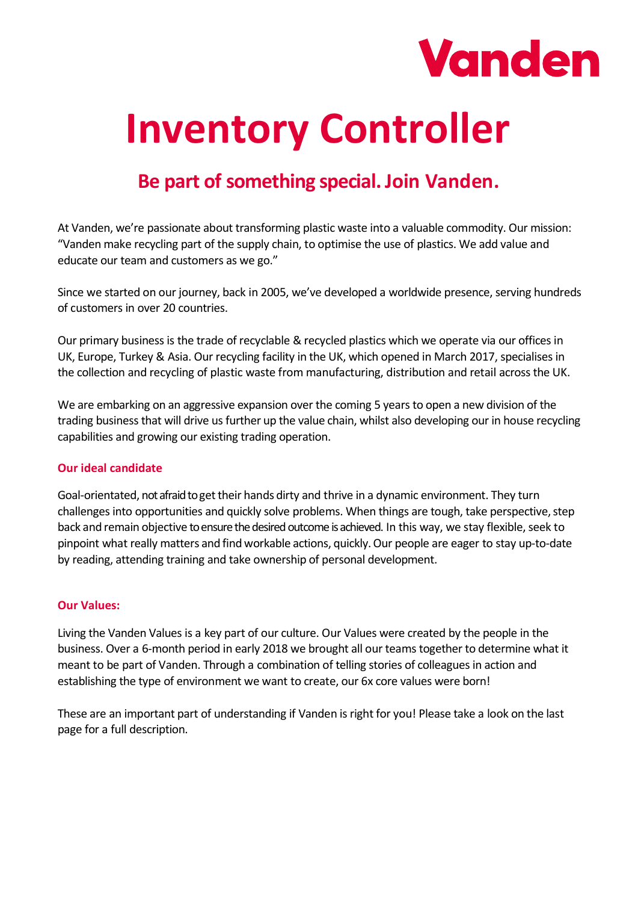

# **Inventory Controller**

# **Be part of something special. Join Vanden.**

At Vanden, we're passionate about transforming plastic waste into a valuable commodity. Our mission: "Vanden make recycling part of the supply chain, to optimise the use of plastics. We add value and educate our team and customers as we go."

Since we started on our journey, back in 2005, we've developed a worldwide presence, serving hundreds of customers in over 20 countries.

Our primary business is the trade of recyclable & recycled plastics which we operate via our offices in UK, Europe, Turkey & Asia. Our recycling facility in the UK, which opened in March 2017, specialises in the collection and recycling of plastic waste from manufacturing, distribution and retail across the UK.

We are embarking on an aggressive expansion over the coming 5 years to open a new division of the trading business that will drive us further up the value chain, whilst also developing our in house recycling capabilities and growing our existing trading operation.

#### **Our ideal candidate**

Goal-orientated, not afraid to get their hands dirty and thrive in a dynamic environment. They turn challenges into opportunities and quickly solve problems. When things are tough, take perspective, step back and remain objective to ensure the desired outcome is achieved. In this way, we stay flexible, seek to pinpoint what really matters and find workable actions, quickly.Our people are eager to stay up-to-date by reading, attending training and take ownership of personal development.

#### **Our Values:**

Living the Vanden Values is a key part of our culture. Our Values were created by the people in the business. Over a 6-month period in early 2018 we brought all our teams together to determine what it meant to be part of Vanden. Through a combination of telling stories of colleagues in action and establishing the type of environment we want to create, our 6x core values were born!

These are an important part of understanding if Vanden is right for you! Please take a look on the last page for a full description.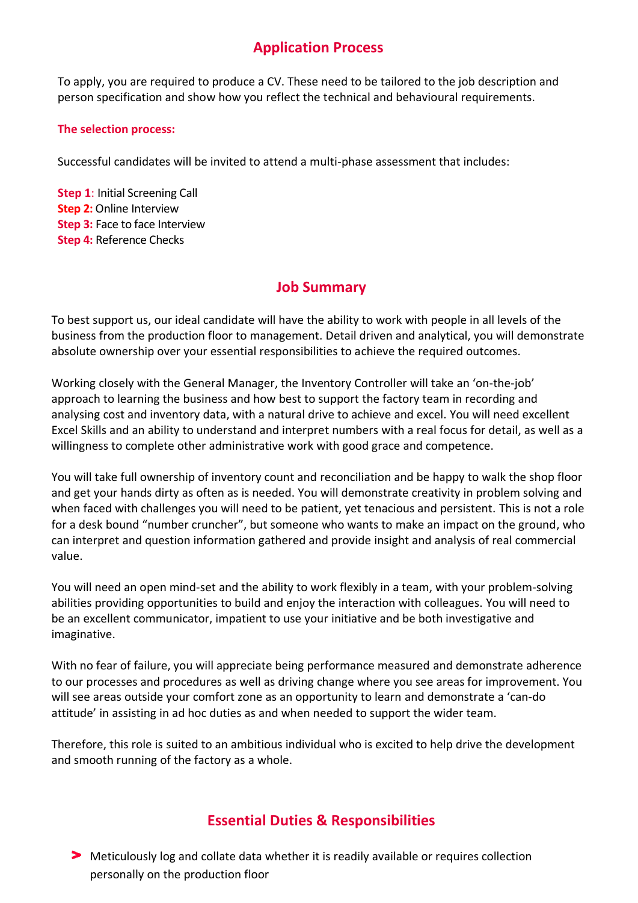## **Application Process**

To apply, you are required to produce a CV. These need to be tailored to the job description and person specification and show how you reflect the technical and behavioural requirements.

#### **The selection process:**

Successful candidates will be invited to attend a multi-phase assessment that includes:

**Step 1**: Initial Screening Call **Step 2:** Online Interview **Step 3:** Face to face Interview **Step 4:** Reference Checks

## **Job Summary**

To best support us, our ideal candidate will have the ability to work with people in all levels of the business from the production floor to management. Detail driven and analytical, you will demonstrate absolute ownership over your essential responsibilities to achieve the required outcomes.

Working closely with the General Manager, the Inventory Controller will take an 'on-the-job' approach to learning the business and how best to support the factory team in recording and analysing cost and inventory data, with a natural drive to achieve and excel. You will need excellent Excel Skills and an ability to understand and interpret numbers with a real focus for detail, as well as a willingness to complete other administrative work with good grace and competence.

You will take full ownership of inventory count and reconciliation and be happy to walk the shop floor and get your hands dirty as often as is needed. You will demonstrate creativity in problem solving and when faced with challenges you will need to be patient, yet tenacious and persistent. This is not a role for a desk bound "number cruncher", but someone who wants to make an impact on the ground, who can interpret and question information gathered and provide insight and analysis of real commercial value.

You will need an open mind-set and the ability to work flexibly in a team, with your problem-solving abilities providing opportunities to build and enjoy the interaction with colleagues. You will need to be an excellent communicator, impatient to use your initiative and be both investigative and imaginative.

With no fear of failure, you will appreciate being performance measured and demonstrate adherence to our processes and procedures as well as driving change where you see areas for improvement. You will see areas outside your comfort zone as an opportunity to learn and demonstrate a 'can-do attitude' in assisting in ad hoc duties as and when needed to support the wider team.

Therefore, this role is suited to an ambitious individual who is excited to help drive the development and smooth running of the factory as a whole.

## **Essential Duties & Responsibilities**

Meticulously log and collate data whether it is readily available or requires collection personally on the production floor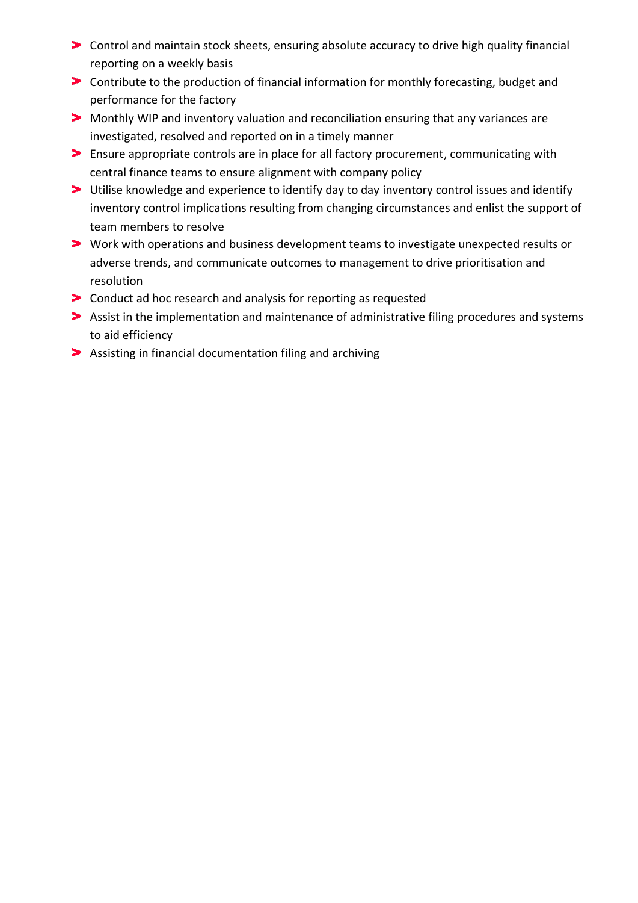- Control and maintain stock sheets, ensuring absolute accuracy to drive high quality financial reporting on a weekly basis
- Contribute to the production of financial information for monthly forecasting, budget and performance for the factory
- Monthly WIP and inventory valuation and reconciliation ensuring that any variances are investigated, resolved and reported on in a timely manner
- Ensure appropriate controls are in place for all factory procurement, communicating with central finance teams to ensure alignment with company policy
- Utilise knowledge and experience to identify day to day inventory control issues and identify inventory control implications resulting from changing circumstances and enlist the support of team members to resolve
- Work with operations and business development teams to investigate unexpected results or adverse trends, and communicate outcomes to management to drive prioritisation and resolution
- **The Step 1** Conduct ad hoc research and analysis for reporting as requested
- Assist in the implementation and maintenance of administrative filing procedures and systems to aid efficiency
- Assisting in financial documentation filing and archiving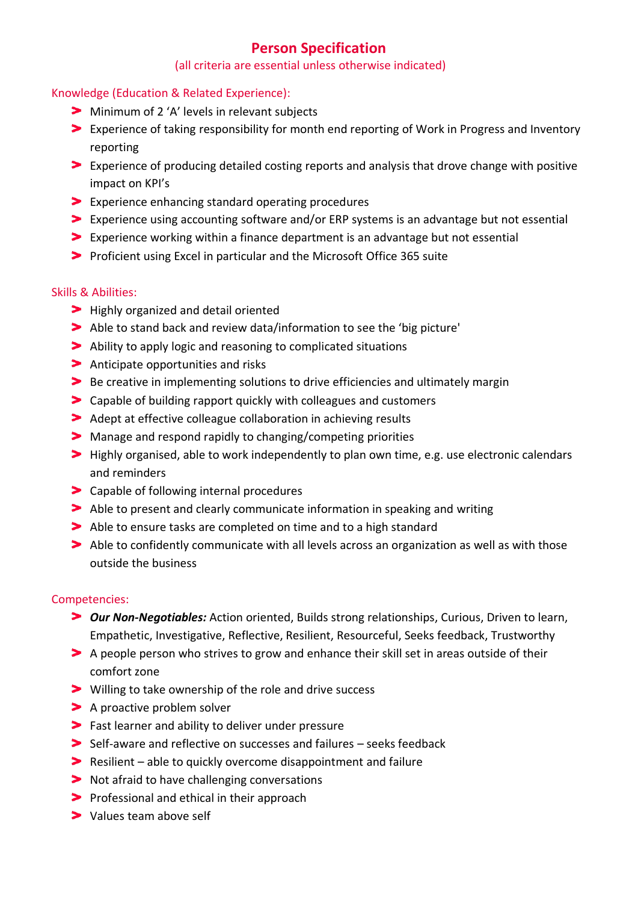### **Person Specification**

#### (all criteria are essential unless otherwise indicated)

#### Knowledge (Education & Related Experience):

- Minimum of 2 'A' levels in relevant subjects
- Experience of taking responsibility for month end reporting of Work in Progress and Inventory reporting
- Experience of producing detailed costing reports and analysis that drove change with positive impact on KPI's
- Experience enhancing standard operating procedures
- Experience using accounting software and/or ERP systems is an advantage but not essential
- Experience working within a finance department is an advantage but not essential
- Proficient using Excel in particular and the Microsoft Office 365 suite

#### Skills & Abilities:

- **Highly organized and detail oriented**
- Able to stand back and review data/information to see the 'big picture'
- Ability to apply logic and reasoning to complicated situations
- Anticipate opportunities and risks
- Be creative in implementing solutions to drive efficiencies and ultimately margin
- Capable of building rapport quickly with colleagues and customers
- Adept at effective colleague collaboration in achieving results
- Manage and respond rapidly to changing/competing priorities
- Highly organised, able to work independently to plan own time, e.g. use electronic calendars and reminders
- > Capable of following internal procedures
- Able to present and clearly communicate information in speaking and writing
- Able to ensure tasks are completed on time and to a high standard
- Able to confidently communicate with all levels across an organization as well as with those outside the business

#### Competencies:

- *Our Non-Negotiables:* Action oriented, Builds strong relationships, Curious, Driven to learn, Empathetic, Investigative, Reflective, Resilient, Resourceful, Seeks feedback, Trustworthy
- A people person who strives to grow and enhance their skill set in areas outside of their comfort zone
- Willing to take ownership of the role and drive success
- > A proactive problem solver
- Fast learner and ability to deliver under pressure
- Self-aware and reflective on successes and failures seeks feedback
- Resilient able to quickly overcome disappointment and failure
- **Not afraid to have challenging conversations**
- **Professional and ethical in their approach**
- > Values team above self